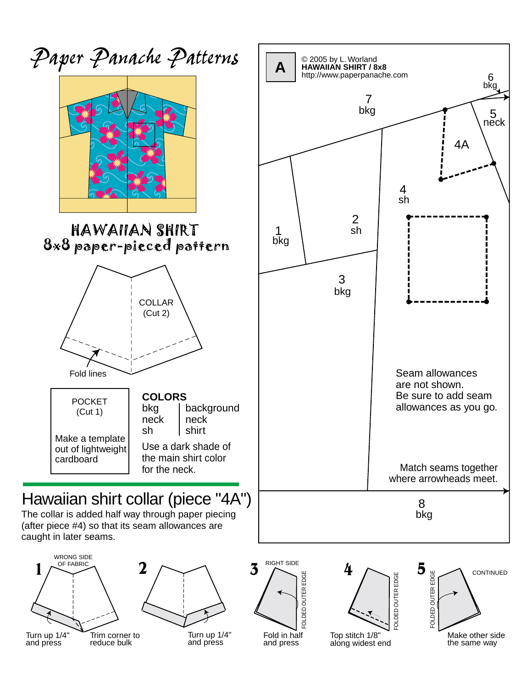